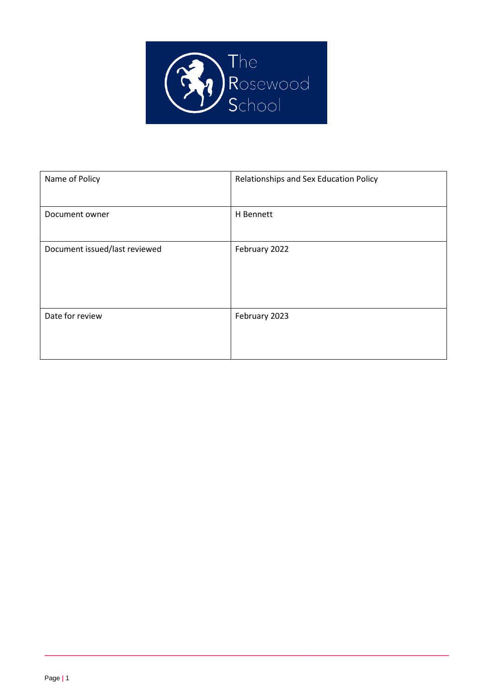

| Name of Policy                | Relationships and Sex Education Policy |
|-------------------------------|----------------------------------------|
| Document owner                | H Bennett                              |
| Document issued/last reviewed | February 2022                          |
| Date for review               | February 2023                          |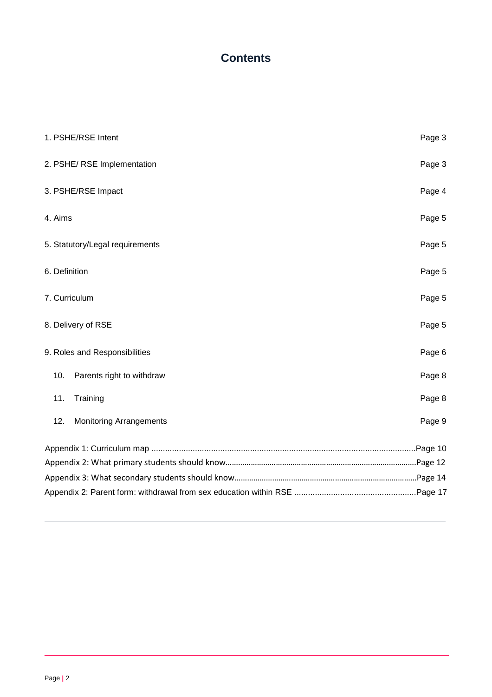## **Contents**

| 1. PSHE/RSE Intent                    | Page 3 |
|---------------------------------------|--------|
| 2. PSHE/ RSE Implementation           | Page 3 |
| 3. PSHE/RSE Impact                    | Page 4 |
| 4. Aims                               | Page 5 |
| 5. Statutory/Legal requirements       | Page 5 |
| 6. Definition                         | Page 5 |
| 7. Curriculum                         | Page 5 |
| 8. Delivery of RSE                    | Page 5 |
| 9. Roles and Responsibilities         | Page 6 |
| 10.<br>Parents right to withdraw      | Page 8 |
| 11.<br>Training                       | Page 8 |
| 12.<br><b>Monitoring Arrangements</b> | Page 9 |
|                                       |        |
|                                       |        |
|                                       |        |
|                                       |        |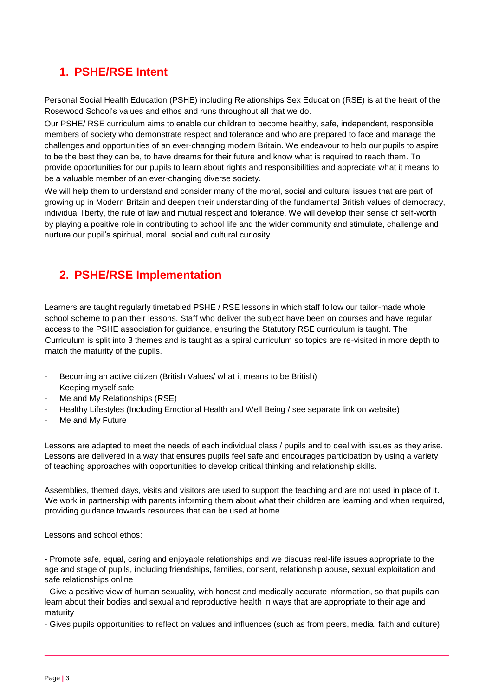# **1. PSHE/RSE Intent**

Personal Social Health Education (PSHE) including Relationships Sex Education (RSE) is at the heart of the Rosewood School's values and ethos and runs throughout all that we do.

Our PSHE/ RSE curriculum aims to enable our children to become healthy, safe, independent, responsible members of society who demonstrate respect and tolerance and who are prepared to face and manage the challenges and opportunities of an ever-changing modern Britain. We endeavour to help our pupils to aspire to be the best they can be, to have dreams for their future and know what is required to reach them. To provide opportunities for our pupils to learn about rights and responsibilities and appreciate what it means to be a valuable member of an ever-changing diverse society.

We will help them to understand and consider many of the moral, social and cultural issues that are part of growing up in Modern Britain and deepen their understanding of the fundamental British values of democracy, individual liberty, the rule of law and mutual respect and tolerance. We will develop their sense of self-worth by playing a positive role in contributing to school life and the wider community and stimulate, challenge and nurture our pupil's spiritual, moral, social and cultural curiosity.

# **2. PSHE/RSE Implementation**

Learners are taught regularly timetabled PSHE / RSE lessons in which staff follow our tailor-made whole school scheme to plan their lessons. Staff who deliver the subject have been on courses and have regular access to the PSHE association for guidance, ensuring the Statutory RSE curriculum is taught. The Curriculum is split into 3 themes and is taught as a spiral curriculum so topics are re-visited in more depth to match the maturity of the pupils.

- Becoming an active citizen (British Values/ what it means to be British)
- Keeping myself safe
- Me and My Relationships (RSE)
- Healthy Lifestyles (Including Emotional Health and Well Being / see separate link on website)
- Me and My Future

Lessons are adapted to meet the needs of each individual class / pupils and to deal with issues as they arise. Lessons are delivered in a way that ensures pupils feel safe and encourages participation by using a variety of teaching approaches with opportunities to develop critical thinking and relationship skills.

Assemblies, themed days, visits and visitors are used to support the teaching and are not used in place of it. We work in partnership with parents informing them about what their children are learning and when required, providing guidance towards resources that can be used at home.

Lessons and school ethos:

- Promote safe, equal, caring and enjoyable relationships and we discuss real-life issues appropriate to the age and stage of pupils, including friendships, families, consent, relationship abuse, sexual exploitation and safe relationships online

- Give a positive view of human sexuality, with honest and medically accurate information, so that pupils can learn about their bodies and sexual and reproductive health in ways that are appropriate to their age and maturity

- Gives pupils opportunities to reflect on values and influences (such as from peers, media, faith and culture)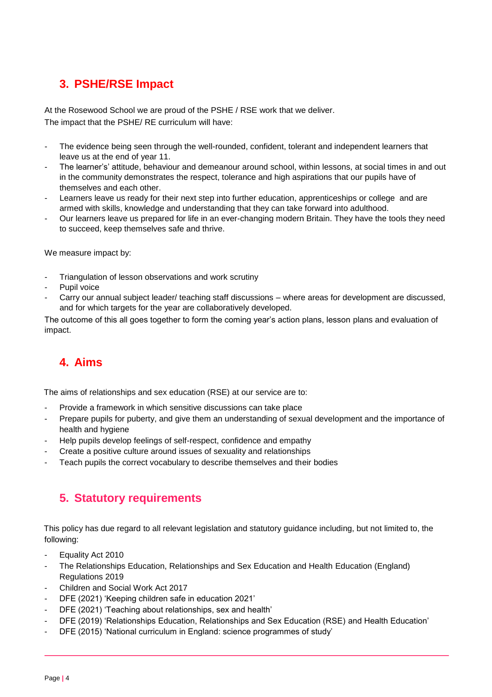# **3. PSHE/RSE Impact**

At the Rosewood School we are proud of the PSHE / RSE work that we deliver. The impact that the PSHE/ RE curriculum will have:

- The evidence being seen through the well-rounded, confident, tolerant and independent learners that leave us at the end of year 11.
- The learner's' attitude, behaviour and demeanour around school, within lessons, at social times in and out in the community demonstrates the respect, tolerance and high aspirations that our pupils have of themselves and each other.
- Learners leave us ready for their next step into further education, apprenticeships or college and are armed with skills, knowledge and understanding that they can take forward into adulthood.
- Our learners leave us prepared for life in an ever-changing modern Britain. They have the tools they need to succeed, keep themselves safe and thrive.

We measure impact by:

- Triangulation of lesson observations and work scrutiny
- Pupil voice
- Carry our annual subject leader/ teaching staff discussions where areas for development are discussed, and for which targets for the year are collaboratively developed.

The outcome of this all goes together to form the coming year's action plans, lesson plans and evaluation of impact.

# **4. Aims**

The aims of relationships and sex education (RSE) at our service are to:

- Provide a framework in which sensitive discussions can take place
- Prepare pupils for puberty, and give them an understanding of sexual development and the importance of health and hygiene
- Help pupils develop feelings of self-respect, confidence and empathy
- Create a positive culture around issues of sexuality and relationships
- Teach pupils the correct vocabulary to describe themselves and their bodies

## **5. Statutory requirements**

This policy has due regard to all relevant legislation and statutory guidance including, but not limited to, the following:

- Equality Act 2010
- The Relationships Education, Relationships and Sex Education and Health Education (England) Regulations 2019
- Children and Social Work Act 2017
- DFE (2021) 'Keeping children safe in education 2021'
- DFE (2021) 'Teaching about relationships, sex and health'
- DFE (2019) 'Relationships Education, Relationships and Sex Education (RSE) and Health Education'
- DFE (2015) 'National curriculum in England: science programmes of study'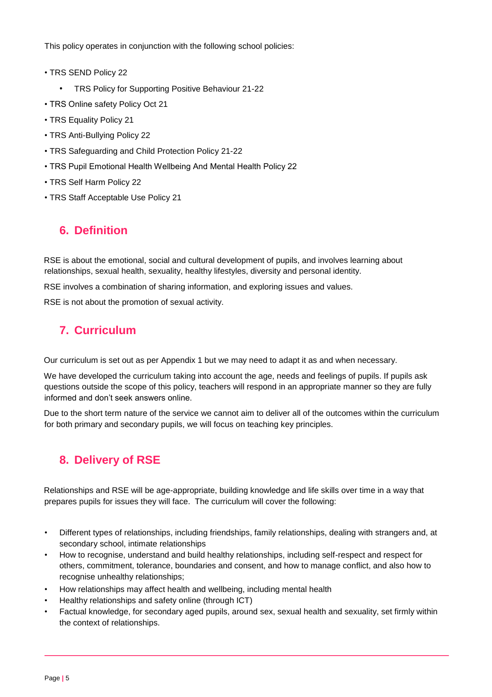This policy operates in conjunction with the following school policies:

- TRS SEND Policy 22
	- TRS Policy for Supporting Positive Behaviour 21-22
- TRS Online safety Policy Oct 21
- TRS Equality Policy 21
- TRS Anti-Bullying Policy 22
- TRS Safeguarding and Child Protection Policy 21-22
- TRS Pupil Emotional Health Wellbeing And Mental Health Policy 22
- TRS Self Harm Policy 22
- TRS Staff Acceptable Use Policy 21

## **6. Definition**

RSE is about the emotional, social and cultural development of pupils, and involves learning about relationships, sexual health, sexuality, healthy lifestyles, diversity and personal identity.

RSE involves a combination of sharing information, and exploring issues and values.

RSE is not about the promotion of sexual activity.

## **7. Curriculum**

Our curriculum is set out as per Appendix 1 but we may need to adapt it as and when necessary.

We have developed the curriculum taking into account the age, needs and feelings of pupils. If pupils ask questions outside the scope of this policy, teachers will respond in an appropriate manner so they are fully informed and don't seek answers online.

Due to the short term nature of the service we cannot aim to deliver all of the outcomes within the curriculum for both primary and secondary pupils, we will focus on teaching key principles.

## **8. Delivery of RSE**

Relationships and RSE will be age-appropriate, building knowledge and life skills over time in a way that prepares pupils for issues they will face. The curriculum will cover the following:

- Different types of relationships, including friendships, family relationships, dealing with strangers and, at secondary school, intimate relationships
- How to recognise, understand and build healthy relationships, including self-respect and respect for others, commitment, tolerance, boundaries and consent, and how to manage conflict, and also how to recognise unhealthy relationships;
- How relationships may affect health and wellbeing, including mental health
- Healthy relationships and safety online (through ICT)
- Factual knowledge, for secondary aged pupils, around sex, sexual health and sexuality, set firmly within the context of relationships.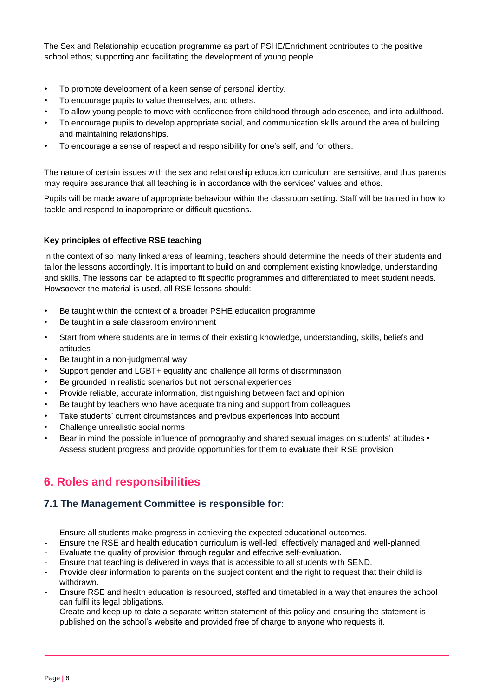The Sex and Relationship education programme as part of PSHE/Enrichment contributes to the positive school ethos; supporting and facilitating the development of young people.

- To promote development of a keen sense of personal identity.
- To encourage pupils to value themselves, and others.
- To allow young people to move with confidence from childhood through adolescence, and into adulthood.
- To encourage pupils to develop appropriate social, and communication skills around the area of building and maintaining relationships.
- To encourage a sense of respect and responsibility for one's self, and for others.

The nature of certain issues with the sex and relationship education curriculum are sensitive, and thus parents may require assurance that all teaching is in accordance with the services' values and ethos.

Pupils will be made aware of appropriate behaviour within the classroom setting. Staff will be trained in how to tackle and respond to inappropriate or difficult questions.

#### **Key principles of effective RSE teaching**

In the context of so many linked areas of learning, teachers should determine the needs of their students and tailor the lessons accordingly. It is important to build on and complement existing knowledge, understanding and skills. The lessons can be adapted to fit specific programmes and differentiated to meet student needs. Howsoever the material is used, all RSE lessons should:

- Be taught within the context of a broader PSHE education programme
- Be taught in a safe classroom environment
- Start from where students are in terms of their existing knowledge, understanding, skills, beliefs and attitudes
- Be taught in a non-judgmental way
- Support gender and LGBT+ equality and challenge all forms of discrimination
- Be grounded in realistic scenarios but not personal experiences
- Provide reliable, accurate information, distinguishing between fact and opinion
- Be taught by teachers who have adequate training and support from colleagues
- Take students' current circumstances and previous experiences into account
- Challenge unrealistic social norms
- Bear in mind the possible influence of pornography and shared sexual images on students' attitudes Assess student progress and provide opportunities for them to evaluate their RSE provision

## **6. Roles and responsibilities**

### **7.1 The Management Committee is responsible for:**

- Ensure all students make progress in achieving the expected educational outcomes.
- Ensure the RSE and health education curriculum is well-led, effectively managed and well-planned.
- Evaluate the quality of provision through regular and effective self-evaluation.
- Ensure that teaching is delivered in ways that is accessible to all students with SEND.
- Provide clear information to parents on the subject content and the right to request that their child is withdrawn.
- Ensure RSE and health education is resourced, staffed and timetabled in a way that ensures the school can fulfil its legal obligations.
- Create and keep up-to-date a separate written statement of this policy and ensuring the statement is published on the school's website and provided free of charge to anyone who requests it.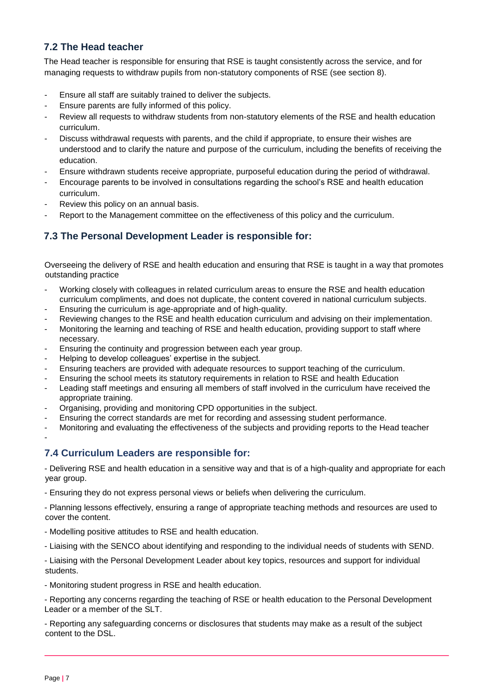### **7.2 The Head teacher**

The Head teacher is responsible for ensuring that RSE is taught consistently across the service, and for managing requests to withdraw pupils from non-statutory components of RSE (see section 8).

- Ensure all staff are suitably trained to deliver the subjects.
- Ensure parents are fully informed of this policy.
- Review all requests to withdraw students from non-statutory elements of the RSE and health education curriculum.
- Discuss withdrawal requests with parents, and the child if appropriate, to ensure their wishes are understood and to clarify the nature and purpose of the curriculum, including the benefits of receiving the education.
- Ensure withdrawn students receive appropriate, purposeful education during the period of withdrawal.
- Encourage parents to be involved in consultations regarding the school's RSE and health education curriculum.
- Review this policy on an annual basis.
- Report to the Management committee on the effectiveness of this policy and the curriculum.

### **7.3 The Personal Development Leader is responsible for:**

Overseeing the delivery of RSE and health education and ensuring that RSE is taught in a way that promotes outstanding practice

- Working closely with colleagues in related curriculum areas to ensure the RSE and health education curriculum compliments, and does not duplicate, the content covered in national curriculum subjects.
- Ensuring the curriculum is age-appropriate and of high-quality.
- Reviewing changes to the RSE and health education curriculum and advising on their implementation.
- Monitoring the learning and teaching of RSE and health education, providing support to staff where
- necessary. - Ensuring the continuity and progression between each year group.
- Helping to develop colleagues' expertise in the subject.
- Ensuring teachers are provided with adequate resources to support teaching of the curriculum.
- Ensuring the school meets its statutory requirements in relation to RSE and health Education
- Leading staff meetings and ensuring all members of staff involved in the curriculum have received the appropriate training.
- Organising, providing and monitoring CPD opportunities in the subject.
- Ensuring the correct standards are met for recording and assessing student performance.
- Monitoring and evaluating the effectiveness of the subjects and providing reports to the Head teacher

### **7.4 Curriculum Leaders are responsible for:**

- Delivering RSE and health education in a sensitive way and that is of a high-quality and appropriate for each year group.

- Ensuring they do not express personal views or beliefs when delivering the curriculum.

- Planning lessons effectively, ensuring a range of appropriate teaching methods and resources are used to cover the content.

- Modelling positive attitudes to RSE and health education.

- Liaising with the SENCO about identifying and responding to the individual needs of students with SEND.

- Liaising with the Personal Development Leader about key topics, resources and support for individual students.

- Monitoring student progress in RSE and health education.

- Reporting any concerns regarding the teaching of RSE or health education to the Personal Development Leader or a member of the SLT.

- Reporting any safeguarding concerns or disclosures that students may make as a result of the subject content to the DSL.

-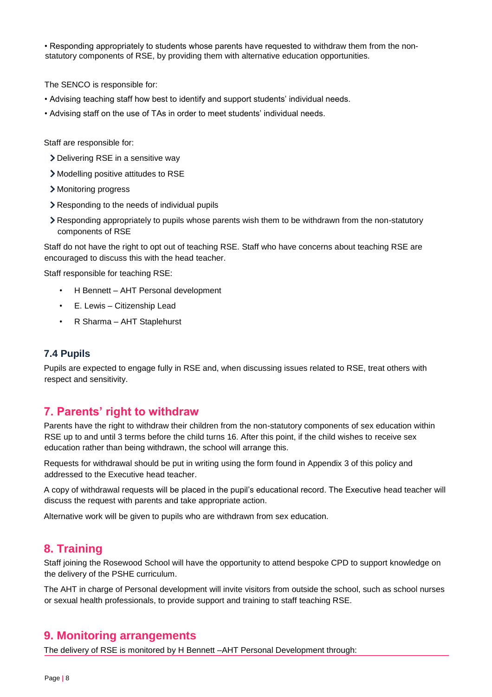• Responding appropriately to students whose parents have requested to withdraw them from the nonstatutory components of RSE, by providing them with alternative education opportunities.

The SENCO is responsible for:

- Advising teaching staff how best to identify and support students' individual needs.
- Advising staff on the use of TAs in order to meet students' individual needs.

Staff are responsible for:

- Delivering RSE in a sensitive way
- Modelling positive attitudes to RSE
- > Monitoring progress
- Responding to the needs of individual pupils
- Responding appropriately to pupils whose parents wish them to be withdrawn from the non-statutory components of RSE

Staff do not have the right to opt out of teaching RSE. Staff who have concerns about teaching RSE are encouraged to discuss this with the head teacher.

Staff responsible for teaching RSE:

- H Bennett AHT Personal development
- E. Lewis Citizenship Lead
- R Sharma AHT Staplehurst

#### **7.4 Pupils**

Pupils are expected to engage fully in RSE and, when discussing issues related to RSE, treat others with respect and sensitivity.

### **7. Parents' right to withdraw**

Parents have the right to withdraw their children from the non-statutory components of sex education within RSE up to and until 3 terms before the child turns 16. After this point, if the child wishes to receive sex education rather than being withdrawn, the school will arrange this.

Requests for withdrawal should be put in writing using the form found in Appendix 3 of this policy and addressed to the Executive head teacher.

A copy of withdrawal requests will be placed in the pupil's educational record. The Executive head teacher will discuss the request with parents and take appropriate action.

Alternative work will be given to pupils who are withdrawn from sex education.

### **8. Training**

Staff joining the Rosewood School will have the opportunity to attend bespoke CPD to support knowledge on the delivery of the PSHE curriculum.

The AHT in charge of Personal development will invite visitors from outside the school, such as school nurses or sexual health professionals, to provide support and training to staff teaching RSE.

### **9. Monitoring arrangements**

The delivery of RSE is monitored by H Bennett –AHT Personal Development through: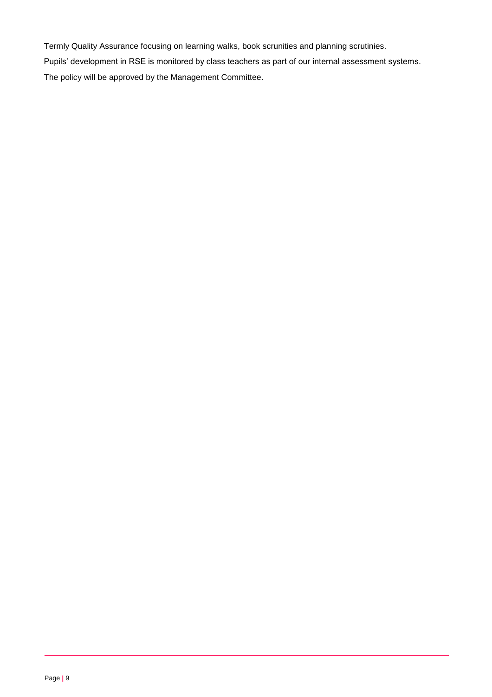Termly Quality Assurance focusing on learning walks, book scrunities and planning scrutinies. Pupils' development in RSE is monitored by class teachers as part of our internal assessment systems. The policy will be approved by the Management Committee.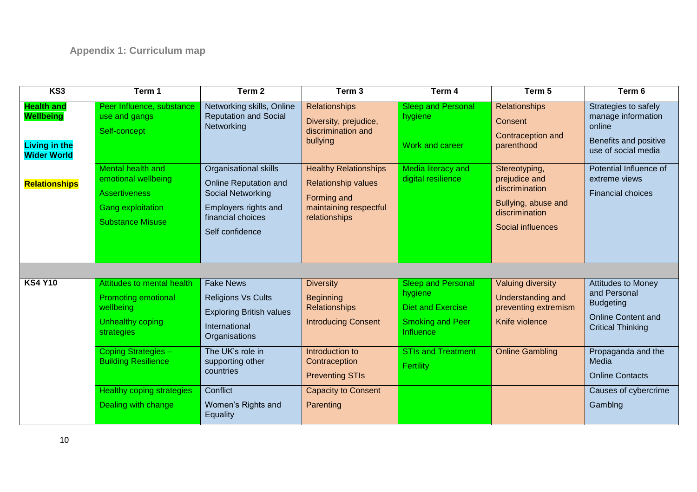| KS3                                                                                 | Term 1                                                                                                                  | Term <sub>2</sub>                                                                                                                                 | Term <sub>3</sub>                                                                                                    | Term 4                                                                                                   | Term 5                                                                                                         | Term 6                                                                                                                 |
|-------------------------------------------------------------------------------------|-------------------------------------------------------------------------------------------------------------------------|---------------------------------------------------------------------------------------------------------------------------------------------------|----------------------------------------------------------------------------------------------------------------------|----------------------------------------------------------------------------------------------------------|----------------------------------------------------------------------------------------------------------------|------------------------------------------------------------------------------------------------------------------------|
| <b>Health and</b><br><b>Wellbeing</b><br><b>Living in the</b><br><b>Wider World</b> | Peer Influence, substance<br>use and gangs<br>Self-concept                                                              | Networking skills, Online<br><b>Reputation and Social</b><br>Networking                                                                           | <b>Relationships</b><br>Diversity, prejudice,<br>discrimination and<br>bullying                                      | <b>Sleep and Personal</b><br>hygiene<br><b>Work and career</b>                                           | <b>Relationships</b><br>Consent<br>Contraception and<br>parenthood                                             | Strategies to safely<br>manage information<br>online<br>Benefits and positive<br>use of social media                   |
| <b>Relationships</b>                                                                | Mental health and<br>emotional wellbeing<br><b>Assertiveness</b><br><b>Gang exploitation</b><br><b>Substance Misuse</b> | <b>Organisational skills</b><br><b>Online Reputation and</b><br>Social Networking<br>Employers rights and<br>financial choices<br>Self confidence | <b>Healthy Relationships</b><br><b>Relationship values</b><br>Forming and<br>maintaining respectful<br>relationships | Media literacy and<br>digital resilience                                                                 | Stereotyping,<br>prejudice and<br>discrimination<br>Bullying, abuse and<br>discrimination<br>Social influences | Potential Influence of<br>extreme views<br><b>Financial choices</b>                                                    |
|                                                                                     |                                                                                                                         |                                                                                                                                                   |                                                                                                                      |                                                                                                          |                                                                                                                |                                                                                                                        |
| <b>KS4 Y10</b>                                                                      | Attitudes to mental health<br><b>Promoting emotional</b><br>wellbeing<br>Unhealthy coping<br>strategies                 | <b>Fake News</b><br><b>Religions Vs Cults</b><br><b>Exploring British values</b><br>International<br>Organisations                                | <b>Diversity</b><br><b>Beginning</b><br><b>Relationships</b><br><b>Introducing Consent</b>                           | <b>Sleep and Personal</b><br>hygiene<br><b>Diet and Exercise</b><br><b>Smoking and Peer</b><br>Influence | <b>Valuing diversity</b><br>Understanding and<br>preventing extremism<br>Knife violence                        | <b>Attitudes to Money</b><br>and Personal<br><b>Budgeting</b><br><b>Online Content and</b><br><b>Critical Thinking</b> |
|                                                                                     | Coping Strategies -<br><b>Building Resilience</b>                                                                       | The UK's role in<br>supporting other<br>countries                                                                                                 | Introduction to<br>Contraception<br><b>Preventing STIs</b>                                                           | <b>STIs and Treatment</b><br>Fertility                                                                   | <b>Online Gambling</b>                                                                                         | Propaganda and the<br>Media<br><b>Online Contacts</b>                                                                  |
|                                                                                     | <b>Healthy coping strategies</b><br>Dealing with change                                                                 | Conflict<br>Women's Rights and<br>Equality                                                                                                        | <b>Capacity to Consent</b><br>Parenting                                                                              |                                                                                                          |                                                                                                                | Causes of cybercrime<br>Gamblng                                                                                        |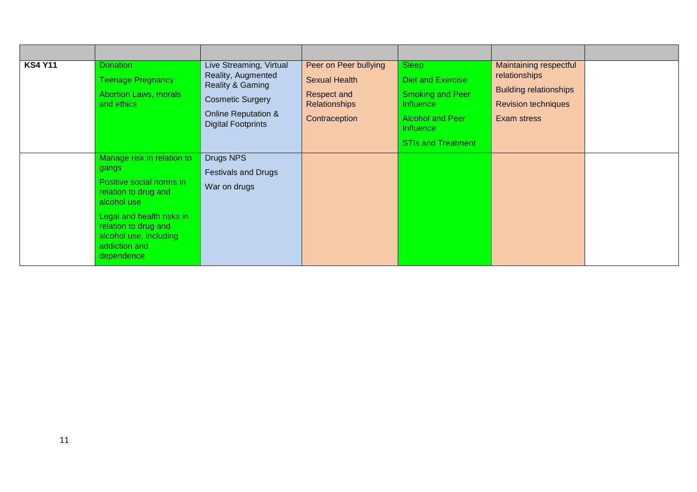| <b>KS4 Y11</b> | <b>Donation</b><br><b>Teenage Pregnancy</b><br><b>Abortion Laws, morals</b><br>and ethics                                                                                                                            | Live Streaming, Virtual<br>Reality, Augmented<br>Reality & Gaming<br><b>Cosmetic Surgery</b><br><b>Online Reputation &amp;</b><br><b>Digital Footprints</b> | Peer on Peer bullying<br><b>Sexual Health</b><br>Respect and<br><b>Relationships</b><br>Contraception | Sleep<br>Diet and Exercise<br><b>Smoking and Peer</b><br>Influence<br><b>Alcohol and Peer</b><br><b>Influence</b><br><b>STIs and Treatment</b> | Maintaining respectful<br>relationships<br><b>Building relationships</b><br><b>Revision techniques</b><br>Exam stress |  |
|----------------|----------------------------------------------------------------------------------------------------------------------------------------------------------------------------------------------------------------------|-------------------------------------------------------------------------------------------------------------------------------------------------------------|-------------------------------------------------------------------------------------------------------|------------------------------------------------------------------------------------------------------------------------------------------------|-----------------------------------------------------------------------------------------------------------------------|--|
|                | Manage risk in relation to<br>gangs<br>Positive social norms in<br>relation to drug and<br>alcohol use<br>Legal and health risks in<br>relation to drug and<br>alcohol use, including<br>addiction and<br>dependence | Drugs NPS<br><b>Festivals and Drugs</b><br>War on drugs                                                                                                     |                                                                                                       |                                                                                                                                                |                                                                                                                       |  |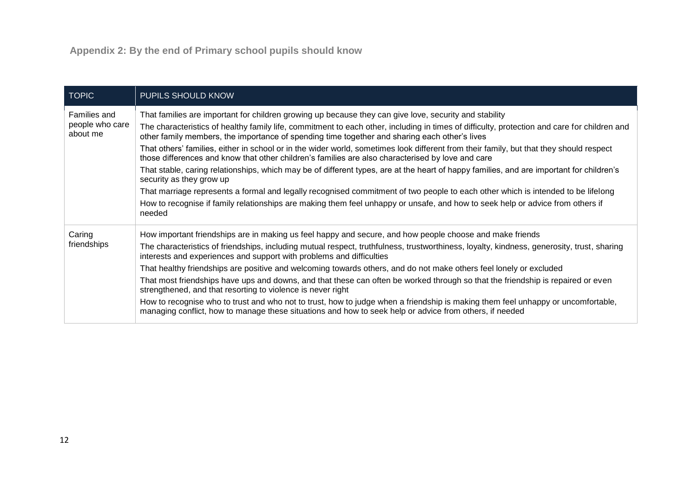| <b>TOPIC</b>                                | <b>PUPILS SHOULD KNOW</b>                                                                                                                                                                                                                                                                                                                                                                                                                                                                                                                                                                                                                                                                                                                                                                                                                                                                                                                                                                                                                                       |
|---------------------------------------------|-----------------------------------------------------------------------------------------------------------------------------------------------------------------------------------------------------------------------------------------------------------------------------------------------------------------------------------------------------------------------------------------------------------------------------------------------------------------------------------------------------------------------------------------------------------------------------------------------------------------------------------------------------------------------------------------------------------------------------------------------------------------------------------------------------------------------------------------------------------------------------------------------------------------------------------------------------------------------------------------------------------------------------------------------------------------|
| Families and<br>people who care<br>about me | That families are important for children growing up because they can give love, security and stability<br>The characteristics of healthy family life, commitment to each other, including in times of difficulty, protection and care for children and<br>other family members, the importance of spending time together and sharing each other's lives<br>That others' families, either in school or in the wider world, sometimes look different from their family, but that they should respect<br>those differences and know that other children's families are also characterised by love and care<br>That stable, caring relationships, which may be of different types, are at the heart of happy families, and are important for children's<br>security as they grow up<br>That marriage represents a formal and legally recognised commitment of two people to each other which is intended to be lifelong<br>How to recognise if family relationships are making them feel unhappy or unsafe, and how to seek help or advice from others if<br>needed |
| Caring<br>friendships                       | How important friendships are in making us feel happy and secure, and how people choose and make friends<br>The characteristics of friendships, including mutual respect, truthfulness, trustworthiness, loyalty, kindness, generosity, trust, sharing<br>interests and experiences and support with problems and difficulties<br>That healthy friendships are positive and welcoming towards others, and do not make others feel lonely or excluded<br>That most friendships have ups and downs, and that these can often be worked through so that the friendship is repaired or even<br>strengthened, and that resorting to violence is never right<br>How to recognise who to trust and who not to trust, how to judge when a friendship is making them feel unhappy or uncomfortable,<br>managing conflict, how to manage these situations and how to seek help or advice from others, if needed                                                                                                                                                           |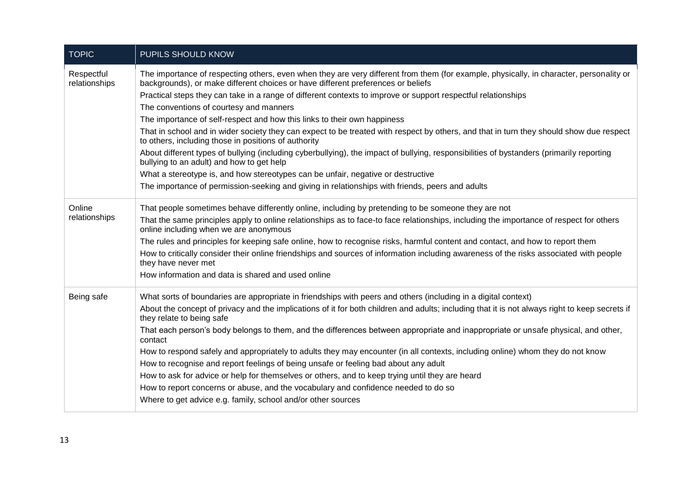| <b>TOPIC</b>                | PUPILS SHOULD KNOW                                                                                                                                                                                                          |
|-----------------------------|-----------------------------------------------------------------------------------------------------------------------------------------------------------------------------------------------------------------------------|
| Respectful<br>relationships | The importance of respecting others, even when they are very different from them (for example, physically, in character, personality or<br>backgrounds), or make different choices or have different preferences or beliefs |
|                             | Practical steps they can take in a range of different contexts to improve or support respectful relationships                                                                                                               |
|                             | The conventions of courtesy and manners                                                                                                                                                                                     |
|                             | The importance of self-respect and how this links to their own happiness                                                                                                                                                    |
|                             | That in school and in wider society they can expect to be treated with respect by others, and that in turn they should show due respect<br>to others, including those in positions of authority                             |
|                             | About different types of bullying (including cyberbullying), the impact of bullying, responsibilities of bystanders (primarily reporting<br>bullying to an adult) and how to get help                                       |
|                             | What a stereotype is, and how stereotypes can be unfair, negative or destructive                                                                                                                                            |
|                             | The importance of permission-seeking and giving in relationships with friends, peers and adults                                                                                                                             |
| Online                      | That people sometimes behave differently online, including by pretending to be someone they are not                                                                                                                         |
| relationships               | That the same principles apply to online relationships as to face-to face relationships, including the importance of respect for others<br>online including when we are anonymous                                           |
|                             | The rules and principles for keeping safe online, how to recognise risks, harmful content and contact, and how to report them                                                                                               |
|                             | How to critically consider their online friendships and sources of information including awareness of the risks associated with people<br>they have never met                                                               |
|                             | How information and data is shared and used online                                                                                                                                                                          |
| Being safe                  | What sorts of boundaries are appropriate in friendships with peers and others (including in a digital context)                                                                                                              |
|                             | About the concept of privacy and the implications of it for both children and adults; including that it is not always right to keep secrets if<br>they relate to being safe                                                 |
|                             | That each person's body belongs to them, and the differences between appropriate and inappropriate or unsafe physical, and other,<br>contact                                                                                |
|                             | How to respond safely and appropriately to adults they may encounter (in all contexts, including online) whom they do not know                                                                                              |
|                             | How to recognise and report feelings of being unsafe or feeling bad about any adult                                                                                                                                         |
|                             | How to ask for advice or help for themselves or others, and to keep trying until they are heard                                                                                                                             |
|                             | How to report concerns or abuse, and the vocabulary and confidence needed to do so                                                                                                                                          |
|                             | Where to get advice e.g. family, school and/or other sources                                                                                                                                                                |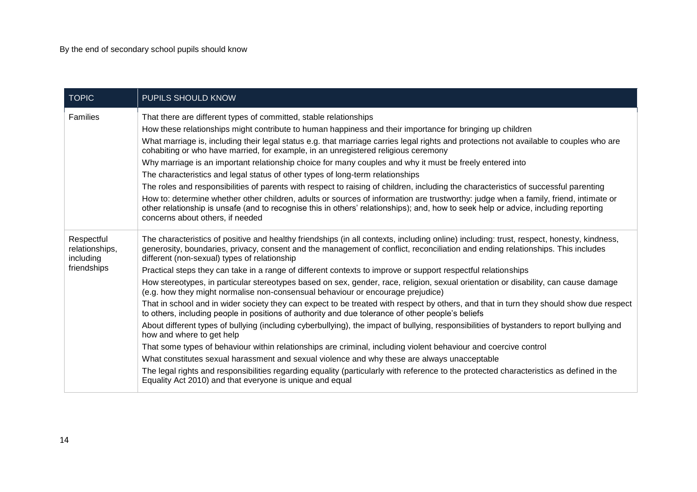| <b>TOPIC</b>                              | PUPILS SHOULD KNOW                                                                                                                                                                                                                                                                                                                                                                                                                                                                                                                                                                                                                                                                                                                                                                                                                                                                                                                                                                                                                   |
|-------------------------------------------|--------------------------------------------------------------------------------------------------------------------------------------------------------------------------------------------------------------------------------------------------------------------------------------------------------------------------------------------------------------------------------------------------------------------------------------------------------------------------------------------------------------------------------------------------------------------------------------------------------------------------------------------------------------------------------------------------------------------------------------------------------------------------------------------------------------------------------------------------------------------------------------------------------------------------------------------------------------------------------------------------------------------------------------|
| Families                                  | That there are different types of committed, stable relationships<br>How these relationships might contribute to human happiness and their importance for bringing up children<br>What marriage is, including their legal status e.g. that marriage carries legal rights and protections not available to couples who are<br>cohabiting or who have married, for example, in an unregistered religious ceremony<br>Why marriage is an important relationship choice for many couples and why it must be freely entered into<br>The characteristics and legal status of other types of long-term relationships<br>The roles and responsibilities of parents with respect to raising of children, including the characteristics of successful parenting<br>How to: determine whether other children, adults or sources of information are trustworthy: judge when a family, friend, intimate or<br>other relationship is unsafe (and to recognise this in others' relationships); and, how to seek help or advice, including reporting |
|                                           | concerns about others, if needed                                                                                                                                                                                                                                                                                                                                                                                                                                                                                                                                                                                                                                                                                                                                                                                                                                                                                                                                                                                                     |
| Respectful<br>relationships,<br>including | The characteristics of positive and healthy friendships (in all contexts, including online) including: trust, respect, honesty, kindness,<br>generosity, boundaries, privacy, consent and the management of conflict, reconciliation and ending relationships. This includes<br>different (non-sexual) types of relationship                                                                                                                                                                                                                                                                                                                                                                                                                                                                                                                                                                                                                                                                                                         |
| friendships                               | Practical steps they can take in a range of different contexts to improve or support respectful relationships                                                                                                                                                                                                                                                                                                                                                                                                                                                                                                                                                                                                                                                                                                                                                                                                                                                                                                                        |
|                                           | How stereotypes, in particular stereotypes based on sex, gender, race, religion, sexual orientation or disability, can cause damage<br>(e.g. how they might normalise non-consensual behaviour or encourage prejudice)                                                                                                                                                                                                                                                                                                                                                                                                                                                                                                                                                                                                                                                                                                                                                                                                               |
|                                           | That in school and in wider society they can expect to be treated with respect by others, and that in turn they should show due respect<br>to others, including people in positions of authority and due tolerance of other people's beliefs                                                                                                                                                                                                                                                                                                                                                                                                                                                                                                                                                                                                                                                                                                                                                                                         |
|                                           | About different types of bullying (including cyberbullying), the impact of bullying, responsibilities of bystanders to report bullying and<br>how and where to get help                                                                                                                                                                                                                                                                                                                                                                                                                                                                                                                                                                                                                                                                                                                                                                                                                                                              |
|                                           | That some types of behaviour within relationships are criminal, including violent behaviour and coercive control                                                                                                                                                                                                                                                                                                                                                                                                                                                                                                                                                                                                                                                                                                                                                                                                                                                                                                                     |
|                                           | What constitutes sexual harassment and sexual violence and why these are always unacceptable                                                                                                                                                                                                                                                                                                                                                                                                                                                                                                                                                                                                                                                                                                                                                                                                                                                                                                                                         |
|                                           | The legal rights and responsibilities regarding equality (particularly with reference to the protected characteristics as defined in the<br>Equality Act 2010) and that everyone is unique and equal                                                                                                                                                                                                                                                                                                                                                                                                                                                                                                                                                                                                                                                                                                                                                                                                                                 |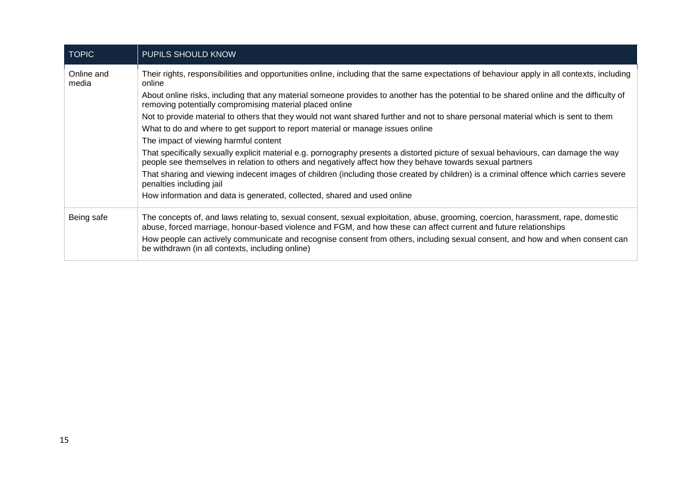| <b>TOPIC</b>        | PUPILS SHOULD KNOW                                                                                                                                                                                                                                                                                                                                                                                                                         |
|---------------------|--------------------------------------------------------------------------------------------------------------------------------------------------------------------------------------------------------------------------------------------------------------------------------------------------------------------------------------------------------------------------------------------------------------------------------------------|
| Online and<br>media | Their rights, responsibilities and opportunities online, including that the same expectations of behaviour apply in all contexts, including<br>online                                                                                                                                                                                                                                                                                      |
|                     | About online risks, including that any material someone provides to another has the potential to be shared online and the difficulty of<br>removing potentially compromising material placed online                                                                                                                                                                                                                                        |
|                     | Not to provide material to others that they would not want shared further and not to share personal material which is sent to them                                                                                                                                                                                                                                                                                                         |
|                     | What to do and where to get support to report material or manage issues online                                                                                                                                                                                                                                                                                                                                                             |
|                     | The impact of viewing harmful content                                                                                                                                                                                                                                                                                                                                                                                                      |
|                     | That specifically sexually explicit material e.g. pornography presents a distorted picture of sexual behaviours, can damage the way<br>people see themselves in relation to others and negatively affect how they behave towards sexual partners                                                                                                                                                                                           |
|                     | That sharing and viewing indecent images of children (including those created by children) is a criminal offence which carries severe<br>penalties including jail                                                                                                                                                                                                                                                                          |
|                     | How information and data is generated, collected, shared and used online                                                                                                                                                                                                                                                                                                                                                                   |
| Being safe          | The concepts of, and laws relating to, sexual consent, sexual exploitation, abuse, grooming, coercion, harassment, rape, domestic<br>abuse, forced marriage, honour-based violence and FGM, and how these can affect current and future relationships<br>How people can actively communicate and recognise consent from others, including sexual consent, and how and when consent can<br>be withdrawn (in all contexts, including online) |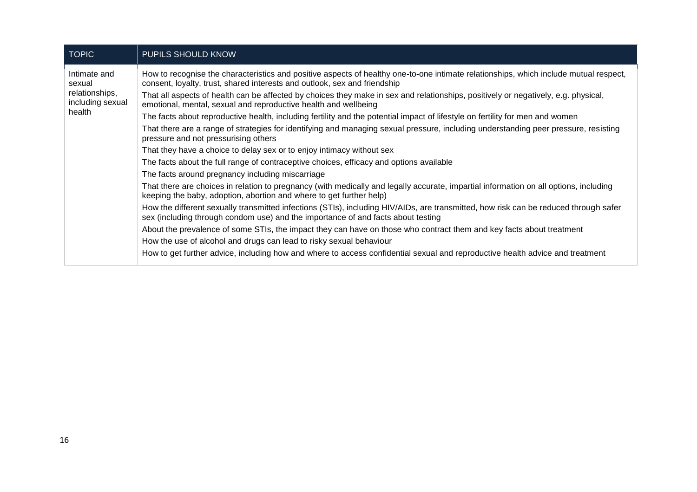| <b>TOPIC</b>                                                 | <b>PUPILS SHOULD KNOW</b>                                                                                                                                                                                                |
|--------------------------------------------------------------|--------------------------------------------------------------------------------------------------------------------------------------------------------------------------------------------------------------------------|
| Intimate and<br>sexual<br>relationships,<br>including sexual | How to recognise the characteristics and positive aspects of healthy one-to-one intimate relationships, which include mutual respect,<br>consent, loyalty, trust, shared interests and outlook, sex and friendship       |
|                                                              | That all aspects of health can be affected by choices they make in sex and relationships, positively or negatively, e.g. physical,<br>emotional, mental, sexual and reproductive health and wellbeing                    |
| health                                                       | The facts about reproductive health, including fertility and the potential impact of lifestyle on fertility for men and women                                                                                            |
|                                                              | That there are a range of strategies for identifying and managing sexual pressure, including understanding peer pressure, resisting<br>pressure and not pressurising others                                              |
|                                                              | That they have a choice to delay sex or to enjoy intimacy without sex                                                                                                                                                    |
|                                                              | The facts about the full range of contraceptive choices, efficacy and options available                                                                                                                                  |
|                                                              | The facts around pregnancy including miscarriage                                                                                                                                                                         |
|                                                              | That there are choices in relation to pregnancy (with medically and legally accurate, impartial information on all options, including<br>keeping the baby, adoption, abortion and where to get further help)             |
|                                                              | How the different sexually transmitted infections (STIs), including HIV/AIDs, are transmitted, how risk can be reduced through safer<br>sex (including through condom use) and the importance of and facts about testing |
|                                                              | About the prevalence of some STIs, the impact they can have on those who contract them and key facts about treatment                                                                                                     |
|                                                              | How the use of alcohol and drugs can lead to risky sexual behaviour                                                                                                                                                      |
|                                                              | How to get further advice, including how and where to access confidential sexual and reproductive health advice and treatment                                                                                            |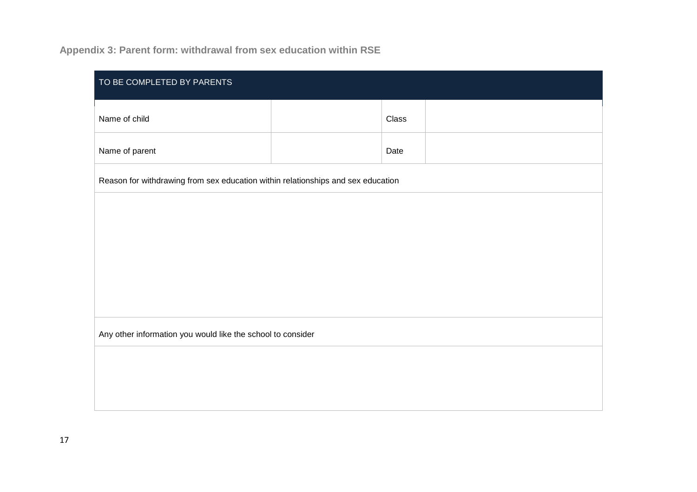# **Appendix 3: Parent form: withdrawal from sex education within RSE**

| TO BE COMPLETED BY PARENTS                                                       |  |       |  |
|----------------------------------------------------------------------------------|--|-------|--|
| Name of child                                                                    |  | Class |  |
| Name of parent                                                                   |  | Date  |  |
| Reason for withdrawing from sex education within relationships and sex education |  |       |  |
|                                                                                  |  |       |  |
|                                                                                  |  |       |  |
|                                                                                  |  |       |  |
|                                                                                  |  |       |  |
| Any other information you would like the school to consider                      |  |       |  |
|                                                                                  |  |       |  |
|                                                                                  |  |       |  |
|                                                                                  |  |       |  |